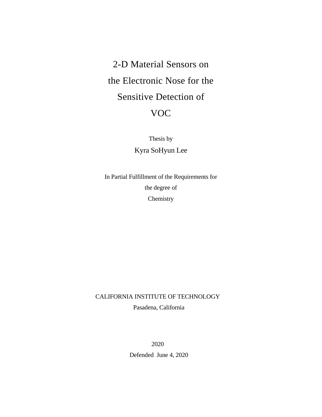# 2-D Material Sensors on the Electronic Nose for the Sensitive Detection of VOC

Thesis by Kyra SoHyun Lee

In Partial Fulfillment of the Requirements for the degree of **Chemistry** 

CALIFORNIA INSTITUTE OF TECHNOLOGY

Pasadena, California

2020

Defended June 4, 2020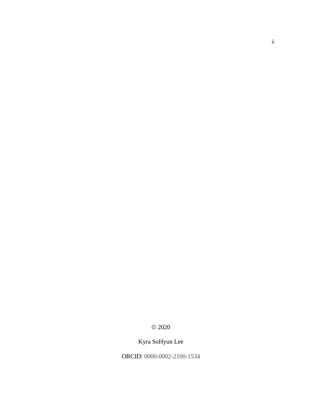$@$  2020

Kyra SoHyun Lee

ORCID: 0000-0002-2100-1534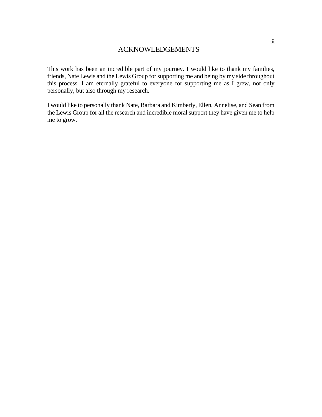This work has been an incredible part of my journey. I would like to thank my families, friends, Nate Lewis and the Lewis Group for supporting me and being by my side throughout this process. I am eternally grateful to everyone for supporting me as I grew, not only personally, but also through my research.

I would like to personally thank Nate, Barbara and Kimberly, Ellen, Annelise, and Sean from the Lewis Group for all the research and incredible moral support they have given me to help me to grow.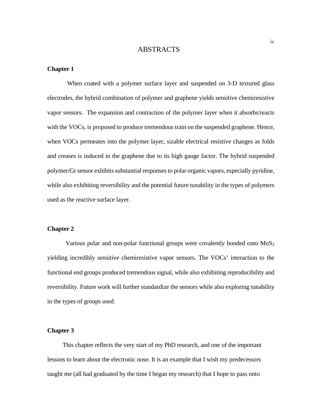# ABSTRACTS

#### **Chapter 1**

 When coated with a polymer surface layer and suspended on 3-D textured glass electrodes, the hybrid combination of polymer and graphene yields sensitive chemiresistive vapor sensors. The expansion and contraction of the polymer layer when it absorbs/reacts with the VOCs, is proposed to produce tremendous train on the suspended graphene. Hence, when VOCs permeates into the polymer layer, sizable electrical resistive changes as folds and creases is induced in the graphene due to its high gauge factor. The hybrid suspended polymer/Gr sensor exhibits substantial responses to polar organic vapors, especially pyridine, while also exhibiting reversibility and the potential future tunability in the types of polymers used as the reactive surface layer.

#### **Chapter 2**

Various polar and non-polar functional groups were covalently bonded onto MoS<sub>2</sub> yielding incredibly sensitive chemiresistive vapor sensors. The VOCs' interaction to the functional end groups produced tremendous signal, while also exhibiting reproducibility and reversibility. Future work will further standardize the sensors while also exploring tunability in the types of groups used.

#### **Chapter 3**

 This chapter reflects the very start of my PhD research, and one of the important lessons to learn about the electronic nose. It is an example that I wish my predecessors taught me (all had graduated by the time I began my research) that I hope to pass onto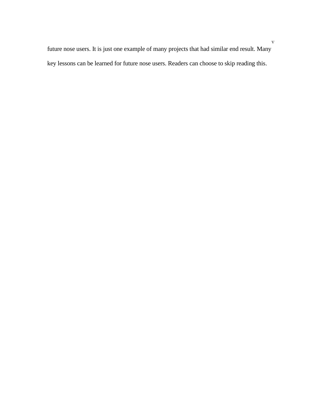future nose users. It is just one example of many projects that had similar end result. Many key lessons can be learned for future nose users. Readers can choose to skip reading this.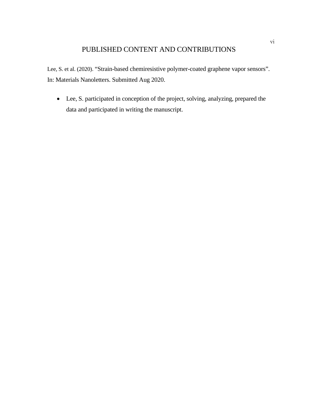# PUBLISHED CONTENT AND CONTRIBUTIONS

Lee, S. et al. (2020). "Strain-based chemiresistive polymer-coated graphene vapor sensors". In: Materials Nanoletters. Submitted Aug 2020.

• Lee, S. participated in conception of the project, solving, analyzing, prepared the data and participated in writing the manuscript.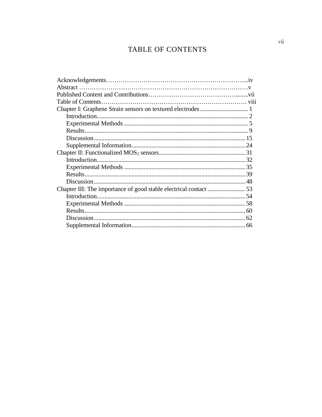# TABLE OF CONTENTS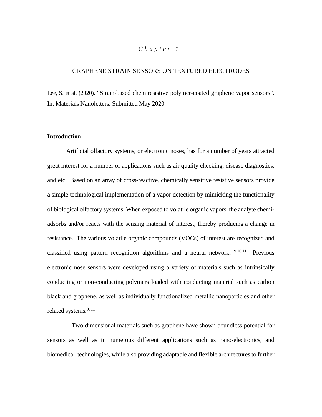#### *Chapter 1*

#### GRAPHENE STRAIN SENSORS ON TEXTURED ELECTRODES

Lee, S. et al. (2020). "Strain-based chemiresistive polymer-coated graphene vapor sensors". In: Materials Nanoletters. Submitted May 2020

#### **Introduction**

Artificial olfactory systems, or electronic noses, has for a number of years attracted great interest for a number of applications such as air quality checking, disease diagnostics, and etc. Based on an array of cross-reactive, chemically sensitive resistive sensors provide a simple technological implementation of a vapor detection by mimicking the functionality of biological olfactory systems. When exposed to volatile organic vapors, the analyte chemiadsorbs and/or reacts with the sensing material of interest, thereby producing a change in resistance. The various volatile organic compounds (VOCs) of interest are recognized and classified using pattern recognition algorithms and a neural network. 9,10,11 Previous electronic nose sensors were developed using a variety of materials such as intrinsically conducting or non-conducting polymers loaded with conducting material such as carbon black and graphene, as well as individually functionalized metallic nanoparticles and other related systems.<sup>9, 11</sup>

 Two-dimensional materials such as graphene have shown boundless potential for sensors as well as in numerous different applications such as nano-electronics, and biomedical technologies, while also providing adaptable and flexible architectures to further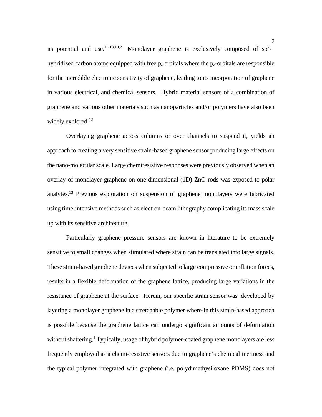its potential and use.<sup>13,18,19,21</sup> Monolayer graphene is exclusively composed of  $sp^2$ hybridized carbon atoms equipped with free  $p<sub>z</sub>$  orbitals where the  $p<sub>z</sub>$ -orbitals are responsible for the incredible electronic sensitivity of graphene, leading to its incorporation of graphene in various electrical, and chemical sensors. Hybrid material sensors of a combination of graphene and various other materials such as nanoparticles and/or polymers have also been widely explored. $^{12}$ 

Overlaying graphene across columns or over channels to suspend it, yields an approach to creating a very sensitive strain-based graphene sensor producing large effects on the nano-molecular scale. Large chemiresistive responses were previously observed when an overlay of monolayer graphene on one-dimensional (1D) ZnO rods was exposed to polar analytes.<sup>13</sup> Previous exploration on suspension of graphene monolayers were fabricated using time-intensive methods such as electron-beam lithography complicating its mass scale up with its sensitive architecture.

Particularly graphene pressure sensors are known in literature to be extremely sensitive to small changes when stimulated where strain can be translated into large signals. These strain-based graphene devices when subjected to large compressive or inflation forces, results in a flexible deformation of the graphene lattice, producing large variations in the resistance of graphene at the surface. Herein, our specific strain sensor was developed by layering a monolayer graphene in a stretchable polymer where-in this strain-based approach is possible because the graphene lattice can undergo significant amounts of deformation without shattering.<sup>1</sup> Typically, usage of hybrid polymer-coated graphene monolayers are less frequently employed as a chemi-resistive sensors due to graphene's chemical inertness and the typical polymer integrated with graphene (i.e. polydimethysiloxane PDMS) does not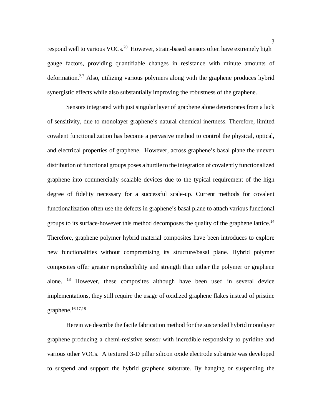respond well to various VOCs.<sup>20</sup> However, strain-based sensors often have extremely high gauge factors, providing quantifiable changes in resistance with minute amounts of deformation.<sup>2,7</sup> Also, utilizing various polymers along with the graphene produces hybrid synergistic effects while also substantially improving the robustness of the graphene.

Sensors integrated with just singular layer of graphene alone deteriorates from a lack of sensitivity, due to monolayer graphene's natural chemical inertness. Therefore, limited covalent functionalization has become a pervasive method to control the physical, optical, and electrical properties of graphene. However, across graphene's basal plane the uneven distribution of functional groups poses a hurdle to the integration of covalently functionalized graphene into commercially scalable devices due to the typical requirement of the high degree of fidelity necessary for a successful scale-up. Current methods for covalent functionalization often use the defects in graphene's basal plane to attach various functional groups to its surface-however this method decomposes the quality of the graphene lattice.<sup>14</sup> Therefore, graphene polymer hybrid material composites have been introduces to explore new functionalities without compromising its structure/basal plane. Hybrid polymer composites offer greater reproducibility and strength than either the polymer or graphene alone. <sup>18</sup> However, these composites although have been used in several device implementations, they still require the usage of oxidized graphene flakes instead of pristine graphene. 16,17,18

Herein we describe the facile fabrication method for the suspended hybrid monolayer graphene producing a chemi-resistive sensor with incredible responsivity to pyridine and various other VOCs. A textured 3-D pillar silicon oxide electrode substrate was developed to suspend and support the hybrid graphene substrate. By hanging or suspending the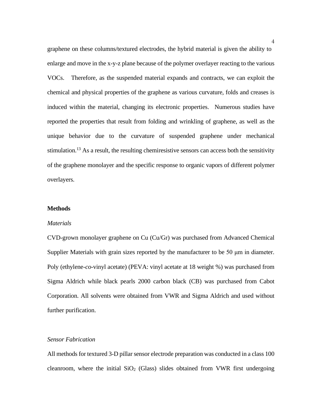graphene on these columns/textured electrodes, the hybrid material is given the ability to enlarge and move in the x-y-z plane because of the polymer overlayer reacting to the various VOCs. Therefore, as the suspended material expands and contracts, we can exploit the chemical and physical properties of the graphene as various curvature, folds and creases is induced within the material, changing its electronic properties. Numerous studies have reported the properties that result from folding and wrinkling of graphene, as well as the unique behavior due to the curvature of suspended graphene under mechanical stimulation.<sup>13</sup> As a result, the resulting chemiresistive sensors can access both the sensitivity of the graphene monolayer and the specific response to organic vapors of different polymer overlayers.

#### **Methods**

#### *Materials*

CVD-grown monolayer graphene on Cu (Cu/Gr) was purchased from Advanced Chemical Supplier Materials with grain sizes reported by the manufacturer to be 50 μm in diameter. Poly (ethylene-*co*-vinyl acetate) (PEVA: vinyl acetate at 18 weight %) was purchased from Sigma Aldrich while black pearls 2000 carbon black (CB) was purchased from Cabot Corporation. All solvents were obtained from VWR and Sigma Aldrich and used without further purification.

#### *Sensor Fabrication*

All methods for textured 3-D pillar sensor electrode preparation was conducted in a class 100 cleanroom, where the initial  $SiO<sub>2</sub>$  (Glass) slides obtained from VWR first undergoing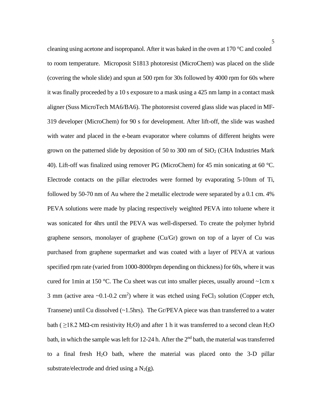cleaning using acetone and isopropanol. After it was baked in the oven at 170 °C and cooled to room temperature. Microposit S1813 photoresist (MicroChem) was placed on the slide (covering the whole slide) and spun at 500 rpm for 30s followed by 4000 rpm for 60s where it was finally proceeded by a 10 s exposure to a mask using a 425 nm lamp in a contact mask aligner (Suss MicroTech MA6/BA6). The photoresist covered glass slide was placed in MF-319 developer (MicroChem) for 90 s for development. After lift-off, the slide was washed with water and placed in the e-beam evaporator where columns of different heights were grown on the patterned slide by deposition of 50 to 300 nm of  $SiO<sub>2</sub>$  (CHA Industries Mark 40). Lift-off was finalized using remover PG (MicroChem) for 45 min sonicating at 60 °C. Electrode contacts on the pillar electrodes were formed by evaporating 5-10nm of Ti, followed by 50-70 nm of Au where the 2 metallic electrode were separated by a 0.1 cm. 4% PEVA solutions were made by placing respectively weighted PEVA into toluene where it was sonicated for 4hrs until the PEVA was well-dispersed. To create the polymer hybrid graphene sensors, monolayer of graphene (Cu/Gr) grown on top of a layer of Cu was purchased from graphene supermarket and was coated with a layer of PEVA at various specified rpm rate (varied from 1000-8000rpm depending on thickness) for 60s, where it was cured for 1min at 150 °C. The Cu sheet was cut into smaller pieces, usually around  $\sim$ 1cm x 3 mm (active area  $\sim 0.1$ -0.2 cm<sup>2</sup>) where it was etched using FeCl<sub>3</sub> solution (Copper etch, Transene) until Cu dissolved (~1.5hrs). The Gr/PEVA piece was than transferred to a water bath (  $\geq$ 18.2 M $\Omega$ -cm resistivity H<sub>2</sub>O) and after 1 h it was transferred to a second clean H<sub>2</sub>O bath, in which the sample was left for 12-24 h. After the  $2<sup>nd</sup>$  bath, the material was transferred to a final fresh H2O bath, where the material was placed onto the 3-D pillar substrate/electrode and dried using a  $N_2(g)$ .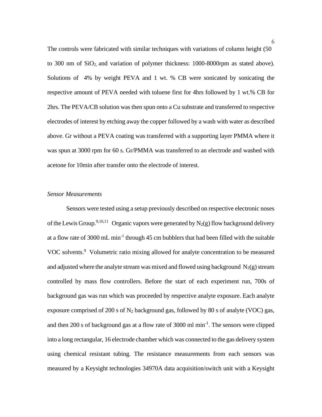The controls were fabricated with similar techniques with variations of column height (50 to 300 nm of SiO<sub>2</sub>, and variation of polymer thickness: 1000-8000rpm as stated above). Solutions of 4% by weight PEVA and 1 wt. % CB were sonicated by sonicating the respective amount of PEVA needed with toluene first for 4hrs followed by 1 wt.% CB for 2hrs. The PEVA/CB solution was then spun onto a Cu substrate and transferred to respective electrodes of interest by etching away the copper followed by a wash with water as described above. Gr without a PEVA coating was transferred with a supporting layer PMMA where it was spun at 3000 rpm for 60 s. Gr/PMMA was transferred to an electrode and washed with acetone for 10min after transfer onto the electrode of interest.

# *Sensor Measurements*

Sensors were tested using a setup previously described on respective electronic noses of the Lewis Group.<sup>9,10,11</sup> Organic vapors were generated by  $N_2(g)$  flow background delivery at a flow rate of 3000 mL min-1 through 45 cm bubblers that had been filled with the suitable VOC solvents.<sup>9</sup> Volumetric ratio mixing allowed for analyte concentration to be measured and adjusted where the analyte stream was mixed and flowed using background  $N_2(g)$  stream controlled by mass flow controllers. Before the start of each experiment run, 700s of background gas was run which was proceeded by respective analyte exposure. Each analyte exposure comprised of 200 s of  $N_2$  background gas, followed by 80 s of analyte (VOC) gas, and then 200 s of background gas at a flow rate of 3000 ml min<sup>-1</sup>. The sensors were clipped into a long rectangular, 16 electrode chamber which was connected to the gas delivery system using chemical resistant tubing. The resistance measurements from each sensors was measured by a Keysight technologies 34970A data acquisition/switch unit with a Keysight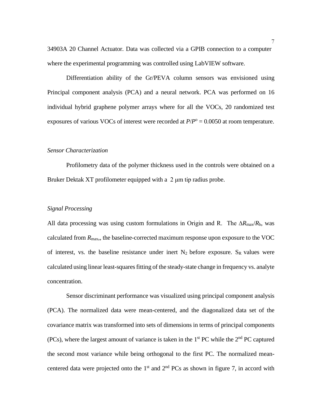34903A 20 Channel Actuator. Data was collected via a GPIB connection to a computer where the experimental programming was controlled using LabVIEW software.

Differentiation ability of the Gr/PEVA column sensors was envisioned using Principal component analysis (PCA) and a neural network. PCA was performed on 16 individual hybrid graphene polymer arrays where for all the VOCs, 20 randomized test exposures of various VOCs of interest were recorded at  $P/P^{\circ} = 0.0050$  at room temperature.

#### *Sensor Characterization*

Profilometry data of the polymer thickness used in the controls were obtained on a Bruker Dektak XT profilometer equipped with a 2 μm tip radius probe.

#### *Signal Processing*

All data processing was using custom formulations in Origin and R. The ∆*R*max/*R*b, was calculated from  $R_{\text{max}}$ , the baseline-corrected maximum response upon exposure to the VOC of interest, vs. the baseline resistance under inert  $N_2$  before exposure. S<sub>R</sub> values were calculated using linear least-squares fitting of the steady-state change in frequency vs. analyte concentration.

Sensor discriminant performance was visualized using principal component analysis (PCA). The normalized data were mean-centered, and the diagonalized data set of the covariance matrix was transformed into sets of dimensions in terms of principal components (PCs), where the largest amount of variance is taken in the  $1<sup>st</sup>$  PC while the  $2<sup>nd</sup>$  PC captured the second most variance while being orthogonal to the first PC. The normalized meancentered data were projected onto the  $1<sup>st</sup>$  and  $2<sup>nd</sup> PCs$  as shown in figure 7, in accord with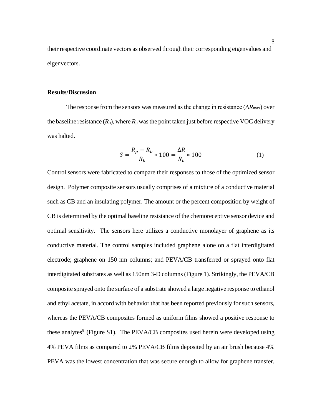their respective coordinate vectors as observed through their corresponding eigenvalues and eigenvectors.

#### **Results/Discussion**

The response from the sensors was measured as the change in resistance (∆*R*max) over the baseline resistance  $(R_b)$ , where  $R_p$  was the point taken just before respective VOC delivery was halted.

$$
S = \frac{R_p - R_b}{R_b} * 100 = \frac{\Delta R}{R_b} * 100
$$
 (1)

Control sensors were fabricated to compare their responses to those of the optimized sensor design. Polymer composite sensors usually comprises of a mixture of a conductive material such as CB and an insulating polymer. The amount or the percent composition by weight of CB is determined by the optimal baseline resistance of the chemoreceptive sensor device and optimal sensitivity. The sensors here utilizes a conductive monolayer of graphene as its conductive material. The control samples included graphene alone on a flat interdigitated electrode; graphene on 150 nm columns; and PEVA/CB transferred or sprayed onto flat interdigitated substrates as well as 150nm 3-D columns (Figure 1). Strikingly, the PEVA/CB composite sprayed onto the surface of a substrate showed a large negative response to ethanol and ethyl acetate, in accord with behavior that has been reported previously for such sensors, whereas the PEVA/CB composites formed as uniform films showed a positive response to these analytes<sup>5</sup> (Figure S1). The PEVA/CB composites used herein were developed using 4% PEVA films as compared to 2% PEVA/CB films deposited by an air brush because 4% PEVA was the lowest concentration that was secure enough to allow for graphene transfer.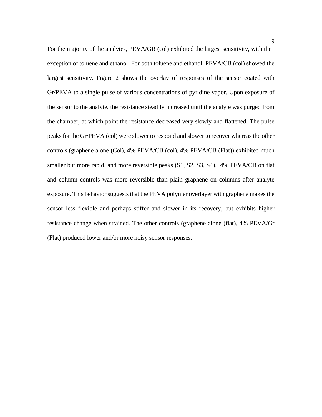For the majority of the analytes, PEVA/GR (col) exhibited the largest sensitivity, with the exception of toluene and ethanol. For both toluene and ethanol, PEVA/CB (col) showed the largest sensitivity. Figure 2 shows the overlay of responses of the sensor coated with Gr/PEVA to a single pulse of various concentrations of pyridine vapor. Upon exposure of the sensor to the analyte, the resistance steadily increased until the analyte was purged from the chamber, at which point the resistance decreased very slowly and flattened. The pulse peaks for the Gr/PEVA (col) were slower to respond and slower to recover whereas the other controls (graphene alone (Col), 4% PEVA/CB (col), 4% PEVA/CB (Flat)) exhibited much smaller but more rapid, and more reversible peaks  $(S1, S2, S3, S4)$ . 4% PEVA/CB on flat and column controls was more reversible than plain graphene on columns after analyte exposure. This behavior suggests that the PEVA polymer overlayer with graphene makes the sensor less flexible and perhaps stiffer and slower in its recovery, but exhibits higher resistance change when strained. The other controls (graphene alone (flat), 4% PEVA/Gr (Flat) produced lower and/or more noisy sensor responses.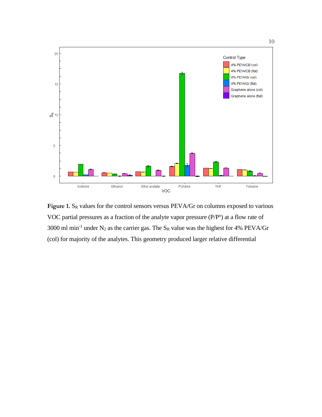

Figure 1. S<sub>R</sub> values for the control sensors versus PEVA/Gr on columns exposed to various VOC partial pressures as a fraction of the analyte vapor pressure  $(P/P<sup>o</sup>)$  at a flow rate of 3000 ml min<sup>-1</sup> under N<sub>2</sub> as the carrier gas. The S<sub>R</sub> value was the highest for 4% PEVA/Gr (col) for majority of the analytes. This geometry produced larger relative differential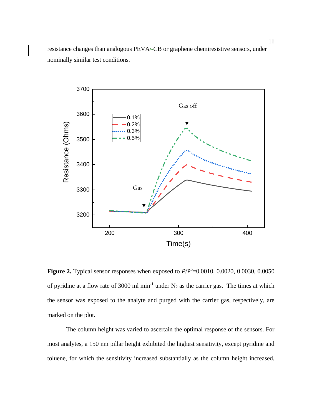resistance changes than analogous PEVA/-CB or graphene chemiresistive sensors, under nominally similar test conditions.



**Figure 2.** Typical sensor responses when exposed to  $P/P°=0.0010$ , 0.0020, 0.0030, 0.0050 of pyridine at a flow rate of 3000 ml min<sup>-1</sup> under  $N_2$  as the carrier gas. The times at which the sensor was exposed to the analyte and purged with the carrier gas, respectively, are marked on the plot.

The column height was varied to ascertain the optimal response of the sensors. For most analytes, a 150 nm pillar height exhibited the highest sensitivity, except pyridine and toluene, for which the sensitivity increased substantially as the column height increased.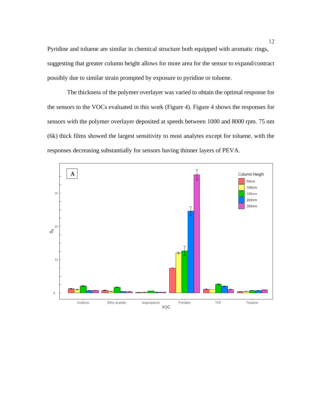Pyridine and toluene are similar in chemical structure both equipped with aromatic rings, suggesting that greater column height allows for more area for the sensor to expand/contract possibly due to similar strain prompted by exposure to pyridine or toluene.

 The thickness of the polymer overlayer was varied to obtain the optimal response for the sensors to the VOCs evaluated in this work (Figure 4). Figure 4 shows the responses for sensors with the polymer overlayer deposited at speeds between 1000 and 8000 rpm. 75 nm (6k) thick films showed the largest sensitivity to most analytes except for toluene, with the responses decreasing substantially for sensors having thinner layers of PEVA.

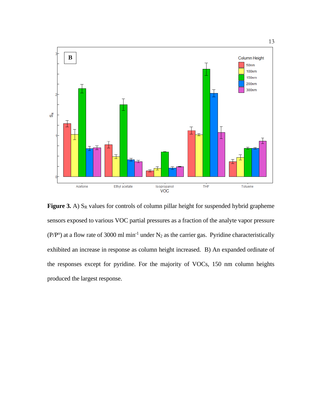

**Figure 3.** A) S<sub>R</sub> values for controls of column pillar height for suspended hybrid grapheme sensors exposed to various VOC partial pressures as a fraction of the analyte vapor pressure  $(P/P<sup>o</sup>)$  at a flow rate of 3000 ml min<sup>-1</sup> under N<sub>2</sub> as the carrier gas. Pyridine characteristically exhibited an increase in response as column height increased. B) An expanded ordinate of the responses except for pyridine. For the majority of VOCs, 150 nm column heights produced the largest response.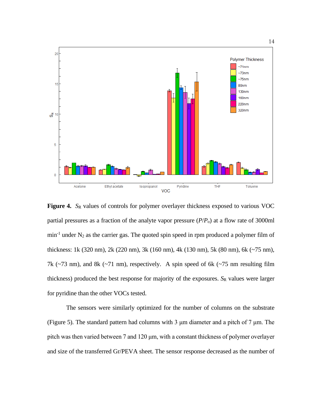

**Figure 4.** *S*<sup>R</sup> values of controls for polymer overlayer thickness exposed to various VOC partial pressures as a fraction of the analyte vapor pressure (*P*/*P*o) at a flow rate of 3000ml  $min<sup>-1</sup>$  under N<sub>2</sub> as the carrier gas. The quoted spin speed in rpm produced a polymer film of thickness: 1k (320 nm), 2k (220 nm), 3k (160 nm), 4k (130 nm), 5k (80 nm), 6k (~75 nm), 7k ( $\sim$ 73 nm), and 8k ( $\sim$ 71 nm), respectively. A spin speed of 6k ( $\sim$ 75 nm resulting film thickness) produced the best response for majority of the exposures. *S*<sup>R</sup> values were larger for pyridine than the other VOCs tested.

The sensors were similarly optimized for the number of columns on the substrate (Figure 5). The standard pattern had columns with 3 μm diameter and a pitch of 7 μm. The pitch was then varied between 7 and 120 μm, with a constant thickness of polymer overlayer and size of the transferred Gr/PEVA sheet. The sensor response decreased as the number of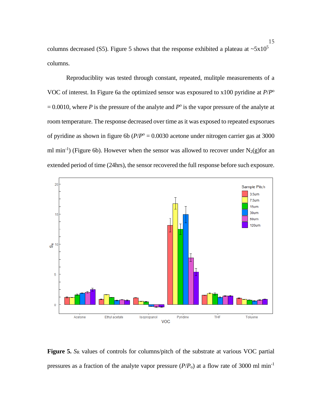columns decreased (S5). Figure 5 shows that the response exhibited a plateau at  $\sim$ 5x10<sup>5</sup> columns.

Reproduciblity was tested through constant, repeated, mulitple measurements of a VOC of interest. In Figure 6a the optimized sensor was exposured to x100 pyridine at *P*/*P*<sup>o</sup>  $= 0.0010$ , where *P* is the pressure of the analyte and *P*<sup>o</sup> is the vapor pressure of the analyte at room temperature. The response decreased over time as it was exposed to repeated expsorues of pyridine as shown in figure 6b ( $P/P^{\circ} = 0.0030$  acetone under nitrogen carrier gas at 3000 ml min<sup>-1</sup>) (Figure 6b). However when the sensor was allowed to recover under  $N_2(g)$  for an extended period of time (24hrs), the sensor recovered the full response before such exposure.



**Figure 5.** *S*<sup>R</sup> values of controls for columns/pitch of the substrate at various VOC partial pressures as a fraction of the analyte vapor pressure  $(P/P_0)$  at a flow rate of 3000 ml min<sup>-1</sup>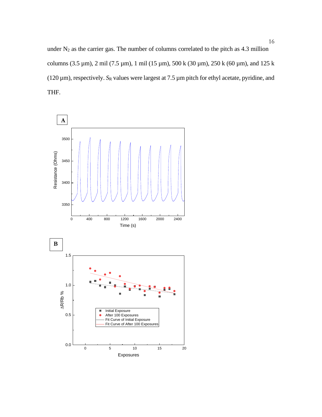under  $N_2$  as the carrier gas. The number of columns correlated to the pitch as 4.3 million columns (3.5 µm), 2 mil (7.5 µm), 1 mil (15 µm), 500 k (30 µm), 250 k (60 µm), and 125 k ( $120 \mu m$ ), respectively.  $S_R$  values were largest at  $7.5 \mu m$  pitch for ethyl acetate, pyridine, and THF.

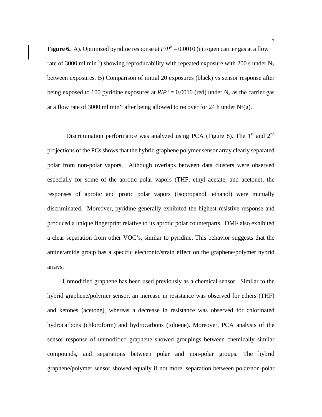**Figure 6.** A). Optimized pyridine response at  $P/P^{\circ} = 0.0010$  (nitrogen carrier gas at a flow rate of 3000 ml min<sup>-1</sup>) showing reproducability with repeated exposure with 200 s under  $N_2$ between exposures. B) Comparison of initial 20 exposures (black) vs sensor response after being exposed to 100 pyridine exposures at  $P/P^{\circ} = 0.0010$  (red) under N<sub>2</sub> as the carrier gas at a flow rate of 3000 ml min<sup>-1</sup> after being allowed to recover for 24 h under N<sub>2</sub>(g).

Discrimination performance was analyzed using PCA (Figure 8). The  $1<sup>st</sup>$  and  $2<sup>nd</sup>$ projections of the PCs shows that the hybrid graphene polymer sensor array clearly separated polar from non-polar vapors. Although overlaps between data clusters were observed especially for some of the aprotic polar vapors (THF, ethyl acetate, and acetone), the responses of aprotic and protic polar vapors (Isopropanol, ethanol) were mutually discriminated. Moreover, pyridine generally exhibited the highest resistive response and produced a unique fingerprint relative to its aprotic polar counterparts. DMF also exhibited a clear separation from other VOC's, similar to pyridine. This behavior suggests that the amine/amide group has a specific electronic/strain effect on the graphene/polymer hybrid arrays.

 Unmodified graphene has been used previously as a chemical sensor. Similar to the hybrid graphene/polymer sensor, an increase in resistance was observed for ethers (THF) and ketones (acetone), whereas a decrease in resistance was observed for chlorinated hydrocarbons (chloroform) and hydrocarbons (toluene). Moreover, PCA analysis of the sensor response of unmodified graphene showed groupings between chemically similar compounds, and separations between polar and non-polar groups. The hybrid graphene/polymer sensor showed equally if not more, separation between polar/non-polar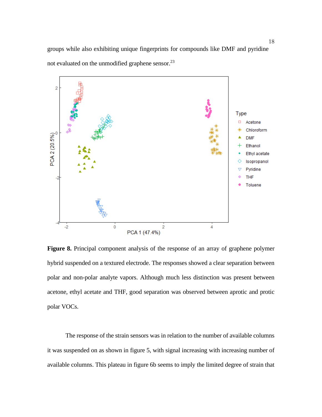groups while also exhibiting unique fingerprints for compounds like DMF and pyridine not evaluated on the unmodified graphene sensor.<sup>23</sup>



**Figure 8.** Principal component analysis of the response of an array of graphene polymer hybrid suspended on a textured electrode. The responses showed a clear separation between polar and non-polar analyte vapors. Although much less distinction was present between acetone, ethyl acetate and THF, good separation was observed between aprotic and protic polar VOCs.

 The response of the strain sensors was in relation to the number of available columns it was suspended on as shown in figure 5, with signal increasing with increasing number of available columns. This plateau in figure 6b seems to imply the limited degree of strain that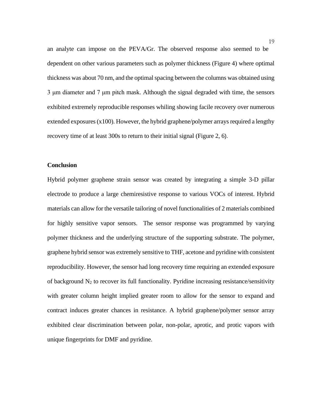an analyte can impose on the PEVA/Gr. The observed response also seemed to be dependent on other various parameters such as polymer thickness (Figure 4) where optimal thickness was about 70 nm, and the optimal spacing between the columns was obtained using 3 μm diameter and 7 μm pitch mask. Although the signal degraded with time, the sensors exhibited extremely reproducible responses whiling showing facile recovery over numerous extended exposures (x100). However, the hybrid graphene/polymer arrays required a lengthy recovery time of at least 300s to return to their initial signal (Figure 2, 6).

#### **Conclusion**

Hybrid polymer graphene strain sensor was created by integrating a simple 3-D pillar electrode to produce a large chemiresistive response to various VOCs of interest. Hybrid materials can allow for the versatile tailoring of novel functionalities of 2 materials combined for highly sensitive vapor sensors. The sensor response was programmed by varying polymer thickness and the underlying structure of the supporting substrate. The polymer, graphene hybrid sensor was extremely sensitive to THF, acetone and pyridine with consistent reproducibility. However, the sensor had long recovery time requiring an extended exposure of background  $N_2$  to recover its full functionality. Pyridine increasing resistance/sensitivity with greater column height implied greater room to allow for the sensor to expand and contract induces greater chances in resistance. A hybrid graphene/polymer sensor array exhibited clear discrimination between polar, non-polar, aprotic, and protic vapors with unique fingerprints for DMF and pyridine.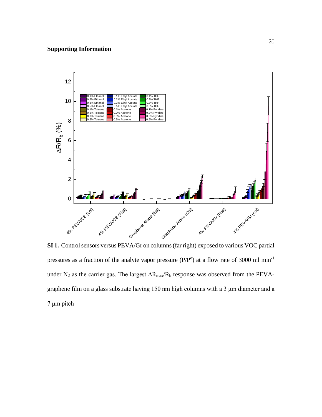# **Supporting Information**



**SI 1.** Control sensors versus PEVA/Gr on columns (far right) exposed to various VOC partial pressures as a fraction of the analyte vapor pressure  $(P/P<sup>o</sup>)$  at a flow rate of 3000 ml min<sup>-1</sup> under N<sub>2</sub> as the carrier gas. The largest  $\Delta R_{max}/R_b$  response was observed from the PEVAgraphene film on a glass substrate having 150 nm high columns with a 3 μm diameter and a 7 μm pitch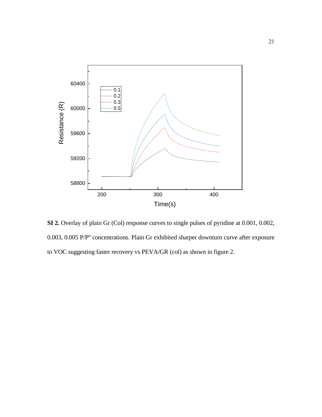

**SI 2.** Overlay of plain Gr (Col) response curves to single pulses of pyridine at 0.001, 0.002, 0.003, 0.005 P/P° concentrations. Plain Gr exhibited sharper downturn curve after exposure to VOC suggesting faster recovery vs PEVA/GR (col) as shown in figure 2.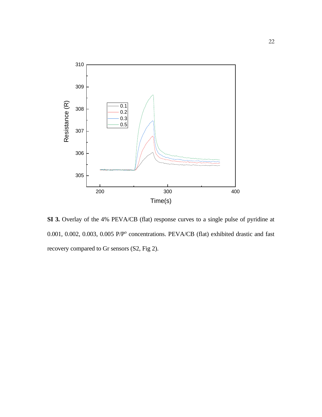

**SI 3.** Overlay of the 4% PEVA/CB (flat) response curves to a single pulse of pyridine at 0.001, 0.002, 0.003, 0.005 P/P° concentrations. PEVA/CB (flat) exhibited drastic and fast recovery compared to Gr sensors (S2, Fig 2).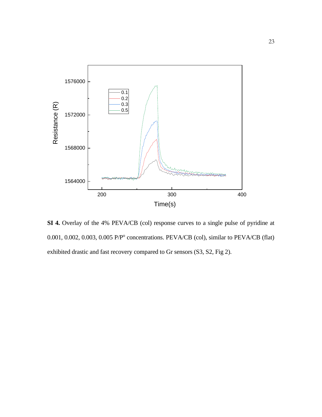

**SI 4.** Overlay of the 4% PEVA/CB (col) response curves to a single pulse of pyridine at 0.001, 0.002, 0.003, 0.005 P/P<sup>o</sup> concentrations. PEVA/CB (col), similar to PEVA/CB (flat) exhibited drastic and fast recovery compared to Gr sensors (S3, S2, Fig 2).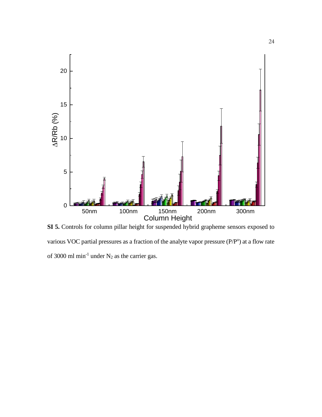

**SI 5.** Controls for column pillar height for suspended hybrid grapheme sensors exposed to various VOC partial pressures as a fraction of the analyte vapor pressure  $(P/P<sup>o</sup>)$  at a flow rate of 3000 ml min<sup>-1</sup> under  $N_2$  as the carrier gas.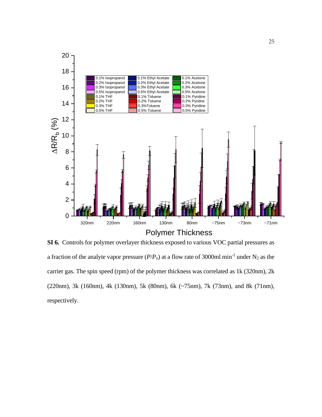

**SI 6.** Controls for polymer overlayer thickness exposed to various VOC partial pressures as a fraction of the analyte vapor pressure  $(P/P_0)$  at a flow rate of 3000ml min<sup>-1</sup> under N<sub>2</sub> as the carrier gas. The spin speed (rpm) of the polymer thickness was correlated as 1k (320nm), 2k (220nm), 3k (160nm), 4k (130nm), 5k (80nm), 6k (~75nm), 7k (73nm), and 8k (71nm), respectively.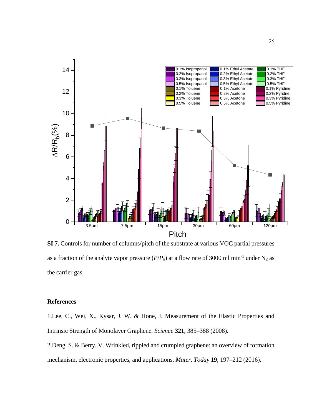

**SI 7.** Controls for number of columns/pitch of the substrate at various VOC partial pressures as a fraction of the analyte vapor pressure  $(P/P_0)$  at a flow rate of 3000 ml min<sup>-1</sup> under N<sub>2</sub> as the carrier gas.

#### **References**

1.Lee, C., Wei, X., Kysar, J. W. & Hone, J. Measurement of the Elastic Properties and Intrinsic Strength of Monolayer Graphene. *Science* **321**, 385–388 (2008).

2.Deng, S. & Berry, V. Wrinkled, rippled and crumpled graphene: an overview of formation mechanism, electronic properties, and applications. *Mater. Today* **19**, 197–212 (2016).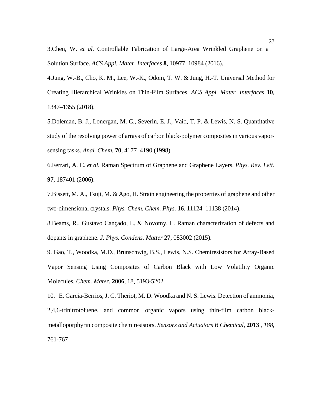3.Chen, W. *et al.* Controllable Fabrication of Large-Area Wrinkled Graphene on a Solution Surface. *ACS Appl. Mater. Interfaces* **8**, 10977–10984 (2016).

4.Jung, W.-B., Cho, K. M., Lee, W.-K., Odom, T. W. & Jung, H.-T. Universal Method for Creating Hierarchical Wrinkles on Thin-Film Surfaces. *ACS Appl. Mater. Interfaces* **10**, 1347–1355 (2018).

5.Doleman, B. J., Lonergan, M. C., Severin, E. J., Vaid, T. P. & Lewis, N. S. Quantitative study of the resolving power of arrays of carbon black-polymer composites in various vaporsensing tasks. *Anal. Chem.* **70**, 4177–4190 (1998).

6.Ferrari, A. C. *et al.* Raman Spectrum of Graphene and Graphene Layers. *Phys. Rev. Lett.* **97**, 187401 (2006).

7.Bissett, M. A., Tsuji, M. & Ago, H. Strain engineering the properties of graphene and other two-dimensional crystals. *Phys. Chem. Chem. Phys.* **16**, 11124–11138 (2014).

8.Beams, R., Gustavo Cançado, L. & Novotny, L. Raman characterization of defects and dopants in graphene. *J. Phys. Condens. Matter* **27**, 083002 (2015).

9. Gao, T., Woodka, M.D., Brunschwig, B.S., Lewis, N.S. Chemiresistors for Array-Based Vapor Sensing Using Composites of Carbon Black with Low Volatility Organic Molecules. *Chem. Mater*. **2006**, 18, 5193-5202

10. E. Garcia-Berrios, J. C. Theriot, M. D. Woodka and N. S. Lewis. Detection of ammonia, 2,4,6-trinitrotoluene, and common organic vapors using thin-film carbon blackmetalloporphyrin composite chemiresistors. *Sensors and Actuators B Chemical*, **2013** , *188*, 761-767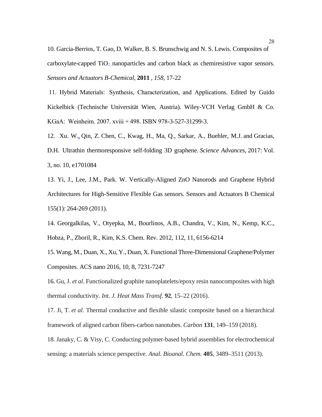10. Garcia-Berrios, T. Gao, D. Walker, B. S. Brunschwig and N. S. Lewis. Composites of carboxylate-capped  $TiO<sub>2</sub>$  nanoparticles and carbon black as chemiresistive vapor sensors. *Sensors and Actuators B-Chemical*, **2011** , *158*, 17-22

11. Hybrid Materials:  Synthesis, Characterization, and Applications. Edited by Guido Kickelbick (Technische Universität Wien, Austria). Wiley-VCH Verlag GmbH & Co. KGaA:  Weinheim. 2007. xviii + 498. ISBN 978-3-527-31299-3.

12. Xu. W[.,](https://advances.sciencemag.org/content/3/10/e1701084/tab-article-info#aff-1) Qin, Z. Chen, C., Kwag, H., Ma, Q., Sarkar, A., Buehler, M.J. and Gracias, D.H. Ultrathin thermoresponsive self-folding 3D graphene. *Science Advances,* 2017: Vol. 3, no. 10, e1701084

13. Yi, J., Lee, J.M., Park. W. Vertically-Aligned ZnO Nanorods and Graphene Hybrid Architectures for High-Sensitive Flexible Gas sensors. Sensors and Actuators B Chemical 155(1): 264-269 (2011).

14. Georgalkilas, V., Otyepka, M., Bourlinos, A.B., Chandra, V., Kim, N., Kemp, K.C., Hobza, P., Zboril, R., Kim, K.S. Chem. Rev. 2012, 112, 11, 6156-6214

15. Wang, M., Duan, X., Xu, Y., Duan, X. Functional Three-Dimensional Graphene/Polymer Composites. ACS nano 2016, 10, 8, 7231-7247

16. Gu, J. *et al*. Functionalized graphite nanoplatelets/epoxy resin nanocomposites with high thermal conductivity. *Int. J. Heat Mass Transf.* **92**, 15–22 (2016).

17. Ji, T. *et al*. Thermal conductive and flexible silastic composite based on a hierarchical framework of aligned carbon fibers-carbon nanotubes. *Carbon* **131**, 149–159 (2018).

18. Janaky, C. & Visy, C. Conducting polymer-based hybrid assemblies for electrochemical sensing: a materials science perspective. *Anal. Bioanal. Chem.* **405**, 3489–3511 (2013).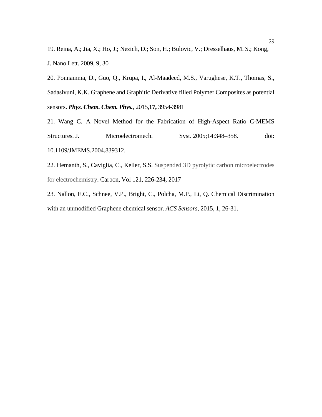19. Reina, A.; Jia, X.; Ho, J.; Nezich, D.; Son, H.; Bulovic, V.; Dresselhaus, M. S.; Kong, J. Nano Lett. 2009, 9, 30

20. Ponnamma, D., Guo, Q., Krupa, I., Al-Maadeed, M.S., Varughese, K.T., Thomas, S., Sadasivuni, K.K. Graphene and Graphitic Derivative filled Polymer Composites as potential sensors**.** *Phys. Chem. Chem. Phys.*, 2015,**17,** 3954-3981

21. Wang C. A Novel Method for the Fabrication of High-Aspect Ratio C-MEMS Structures. J. Microelectromech. Syst. 2005;14:348–358. doi: 10.1109/JMEMS.2004.839312.

22. Hemanth, S., Caviglia, C., Keller, S.S. Suspended 3D pyrolytic carbon microelectrodes for electrochemistry**.** Carbon, Vol 121, 226-234, 2017

23. Nallon, E.C., Schnee, V.P., Bright, C., Polcha, M.P., Li, Q. Chemical Discrimination with an unmodified Graphene chemical sensor. *ACS Sensors*, 2015, 1, 26-31.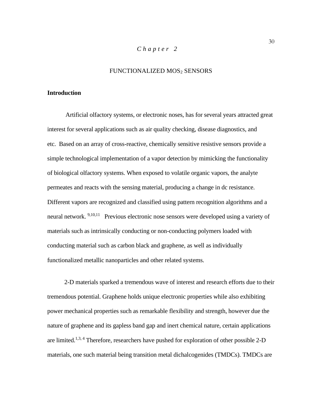# *Chapter 2*

#### FUNCTIONALIZED MOS2 SENSORS

#### **Introduction**

 Artificial olfactory systems, or electronic noses, has for several years attracted great interest for several applications such as air quality checking, disease diagnostics, and etc. Based on an array of cross-reactive, chemically sensitive resistive sensors provide a simple technological implementation of a vapor detection by mimicking the functionality of biological olfactory systems. When exposed to volatile organic vapors, the analyte permeates and reacts with the sensing material, producing a change in dc resistance. Different vapors are recognized and classified using pattern recognition algorithms and a neural network. <sup>9,10,11</sup> Previous electronic nose sensors were developed using a variety of materials such as intrinsically conducting or non-conducting polymers loaded with conducting material such as carbon black and graphene, as well as individually functionalized metallic nanoparticles and other related systems.

2-D materials sparked a tremendous wave of interest and research efforts due to their tremendous potential. Graphene holds unique electronic properties while also exhibiting power mechanical properties such as remarkable flexibility and strength, however due the nature of graphene and its gapless band gap and inert chemical nature, certain applications are limited.<sup>1,3, 4</sup> Therefore, researchers have pushed for exploration of other possible 2-D materials, one such material being transition metal dichalcogenides (TMDCs). TMDCs are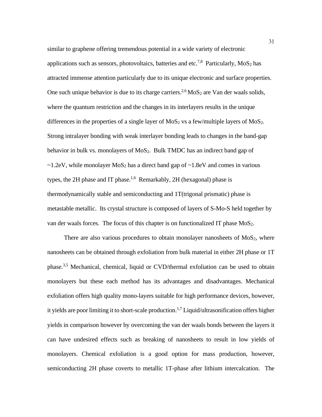similar to graphene offering tremendous potential in a wide variety of electronic applications such as sensors, photovoltaics, batteries and etc.<sup>7,8</sup> Particularly, MoS<sub>2</sub> has attracted immense attention particularly due to its unique electronic and surface properties. One such unique behavior is due to its charge carriers.<sup>2,6</sup> MoS<sub>2</sub> are Van der waals solids, where the quantum restriction and the changes in its interlayers results in the unique differences in the properties of a single layer of  $MoS<sub>2</sub>$  vs a few/multiple layers of  $MoS<sub>2</sub>$ . Strong intralayer bonding with weak interlayer bonding leads to changes in the band-gap behavior in bulk vs. monolayers of MoS<sub>2</sub>. Bulk TMDC has an indirect band gap of  $\sim$ 1.2eV, while monolayer MoS<sub>2</sub> has a direct band gap of  $\sim$ 1.8eV and comes in various types, the 2H phase and IT phase.<sup>1,6</sup> Remarkably, 2H (hexagonal) phase is thermodynamically stable and semiconducting and 1T(trigonal prismatic) phase is metastable metallic. Its crystal structure is composed of layers of S-Mo-S held together by van der waals forces. The focus of this chapter is on functionalized IT phase MoS<sub>2</sub>.

There are also various procedures to obtain monolayer nanosheets of  $MoS<sub>2</sub>$ , where nanosheets can be obtained through exfoliation from bulk material in either 2H phase or 1T phase.<sup>3,5</sup> Mechanical, chemical, liquid or CVD/thermal exfoliation can be used to obtain monolayers but these each method has its advantages and disadvantages. Mechanical exfoliation offers high quality mono-layers suitable for high performance devices, however, it yields are poor limiting it to short-scale production. 1,7 Liquid/ultrasonification offers higher yields in comparison however by overcoming the van der waals bonds between the layers it can have undesired effects such as breaking of nanosheets to result in low yields of monolayers. Chemical exfoliation is a good option for mass production, however, semiconducting 2H phase coverts to metallic 1T-phase after lithium intercalcation. The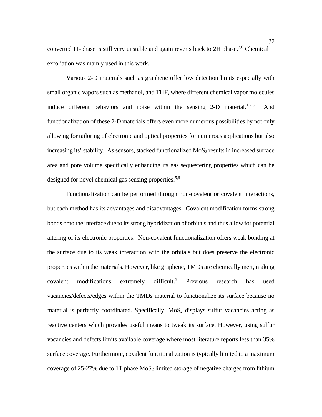converted IT-phase is still very unstable and again reverts back to 2H phase.<sup>3,6</sup> Chemical exfoliation was mainly used in this work.

Various 2-D materials such as graphene offer low detection limits especially with small organic vapors such as methanol, and THF, where different chemical vapor molecules induce different behaviors and noise within the sensing 2-D material.<sup>1,2,5</sup> And functionalization of these 2-D materials offers even more numerous possibilities by not only allowing for tailoring of electronic and optical properties for numerous applications but also increasing its' stability. As sensors, stacked functionalized  $MoS<sub>2</sub>$  results in increased surface area and pore volume specifically enhancing its gas sequestering properties which can be designed for novel chemical gas sensing properties.<sup>5,6</sup>

Functionalization can be performed through non-covalent or covalent interactions, but each method has its advantages and disadvantages. Covalent modification forms strong bonds onto the interface due to its strong hybridization of orbitals and thus allow for potential altering of its electronic properties. Non-covalent functionalization offers weak bonding at the surface due to its weak interaction with the orbitals but does preserve the electronic properties within the materials. However, like graphene, TMDs are chemically inert, making covalent modifications extremely difficult.<sup>5</sup> Previous research has used vacancies/defects/edges within the TMDs material to functionalize its surface because no material is perfectly coordinated. Specifically,  $MoS<sub>2</sub>$  displays sulfur vacancies acting as reactive centers which provides useful means to tweak its surface. However, using sulfur vacancies and defects limits available coverage where most literature reports less than 35% surface coverage. Furthermore, covalent functionalization is typically limited to a maximum coverage of  $25-27\%$  due to 1T phase MoS<sub>2</sub> limited storage of negative charges from lithium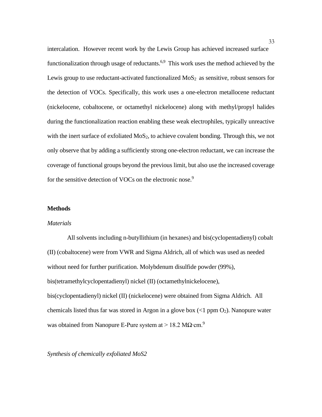intercalation. However recent work by the Lewis Group has achieved increased surface functionalization through usage of reductants.<sup>6,9</sup> This work uses the method achieved by the Lewis group to use reductant-activated functionalized  $MoS<sub>2</sub>$  as sensitive, robust sensors for the detection of VOCs. Specifically, this work uses a one-electron metallocene reductant (nickelocene, cobaltocene, or octamethyl nickelocene) along with methyl/propyl halides during the functionalization reaction enabling these weak electrophiles, typically unreactive with the inert surface of exfoliated  $MoS<sub>2</sub>$ , to achieve covalent bonding. Through this, we not only observe that by adding a sufficiently strong one-electron reductant, we can increase the coverage of functional groups beyond the previous limit, but also use the increased coverage for the sensitive detection of VOCs on the electronic nose.<sup>9</sup>

# **Methods**

#### *Materials*

 All solvents including n-butyllithium (in hexanes) and bis(cyclopentadienyl) cobalt (II) (cobaltocene) were from VWR and Sigma Aldrich, all of which was used as needed without need for further purification. Molybdenum disulfide powder (99%), bis(tetramethylcyclopentadienyl) nickel (II) (octamethylnickelocene), bis(cyclopentadienyl) nickel (II) (nickelocene) were obtained from Sigma Aldrich. All chemicals listed thus far was stored in Argon in a glove box  $\ll 1$  ppm  $O_2$ ). Nanopure water was obtained from Nanopure E-Pure system at > 18.2 M $\Omega$ ·cm.<sup>9</sup>

#### *Synthesis of chemically exfoliated MoS2*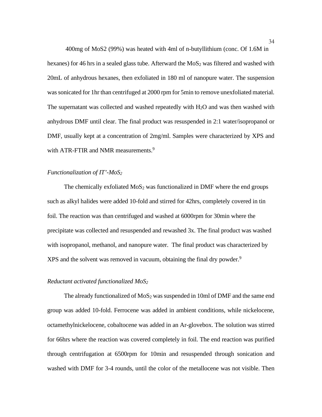400mg of MoS2 (99%) was heated with 4ml of n-butyllithium (conc. Of 1.6M in hexanes) for 46 hrs in a sealed glass tube. Afterward the  $MoS<sub>2</sub>$  was filtered and washed with 20mL of anhydrous hexanes, then exfoliated in 180 ml of nanopure water. The suspension was sonicated for 1hr than centrifuged at 2000 rpm for 5min to remove unexfoliated material. The supernatant was collected and washed repeatedly with  $H_2O$  and was then washed with anhydrous DMF until clear. The final product was resuspended in 2:1 water/isopropanol or DMF, usually kept at a concentration of 2mg/ml. Samples were characterized by XPS and with ATR-FTIR and NMR measurements.<sup>9</sup>

#### *Functionalization of IT'-MoS2*

The chemically exfoliated  $MoS<sub>2</sub>$  was functionalized in DMF where the end groups such as alkyl halides were added 10-fold and stirred for 42hrs, completely covered in tin foil. The reaction was than centrifuged and washed at 6000rpm for 30min where the precipitate was collected and resuspended and rewashed 3x. The final product was washed with isopropanol, methanol, and nanopure water. The final product was characterized by XPS and the solvent was removed in vacuum, obtaining the final dry powder.<sup>9</sup>

#### *Reductant activated functionalized MoS2*

The already functionalized of  $MoS<sub>2</sub>$  was suspended in 10ml of DMF and the same end group was added 10-fold. Ferrocene was added in ambient conditions, while nickelocene, octamethylnickelocene, cobaltocene was added in an Ar-glovebox. The solution was stirred for 66hrs where the reaction was covered completely in foil. The end reaction was purified through centrifugation at 6500rpm for 10min and resuspended through sonication and washed with DMF for 3-4 rounds, until the color of the metallocene was not visible. Then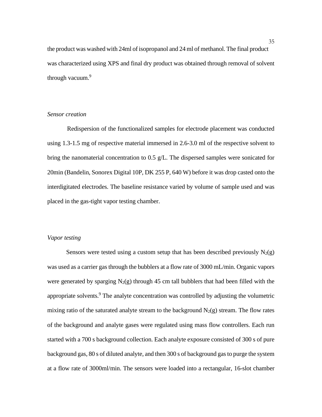the product was washed with 24ml of isopropanol and 24 ml of methanol. The final product was characterized using XPS and final dry product was obtained through removal of solvent through vacuum.<sup>9</sup>

#### *Sensor creation*

 Redispersion of the functionalized samples for electrode placement was conducted using 1.3-1.5 mg of respective material immersed in 2.6-3.0 ml of the respective solvent to bring the nanomaterial concentration to 0.5 g/L. The dispersed samples were sonicated for 20min (Bandelin, Sonorex Digital 10P, DK 255 P, 640 W) before it was drop casted onto the interdigitated electrodes. The baseline resistance varied by volume of sample used and was placed in the gas-tight vapor testing chamber.

#### *Vapor testing*

Sensors were tested using a custom setup that has been described previously  $N_2(g)$ was used as a carrier gas through the bubblers at a flow rate of 3000 mL/min. Organic vapors were generated by sparging  $N_2(g)$  through 45 cm tall bubblers that had been filled with the appropriate solvents.<sup>9</sup> The analyte concentration was controlled by adjusting the volumetric mixing ratio of the saturated analyte stream to the background  $N_2(g)$  stream. The flow rates of the background and analyte gases were regulated using mass flow controllers. Each run started with a 700 s background collection. Each analyte exposure consisted of 300 s of pure background gas, 80 s of diluted analyte, and then 300 s of background gas to purge the system at a flow rate of 3000ml/min. The sensors were loaded into a rectangular, 16-slot chamber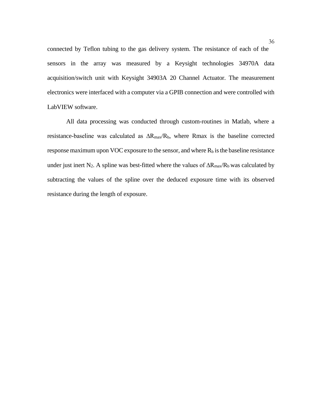connected by Teflon tubing to the gas delivery system. The resistance of each of the sensors in the array was measured by a Keysight technologies 34970A data acquisition/switch unit with Keysight 34903A 20 Channel Actuator. The measurement electronics were interfaced with a computer via a GPIB connection and were controlled with LabVIEW software.

All data processing was conducted through custom-routines in Matlab, where a resistance-baseline was calculated as  $\Delta R_{\text{max}}/R_b$ , where Rmax is the baseline corrected response maximum upon VOC exposure to the sensor, and where  $R_b$  is the baseline resistance under just inert N<sub>2</sub>. A spline was best-fitted where the values of  $\Delta R_{\text{max}}/R_b$  was calculated by subtracting the values of the spline over the deduced exposure time with its observed resistance during the length of exposure.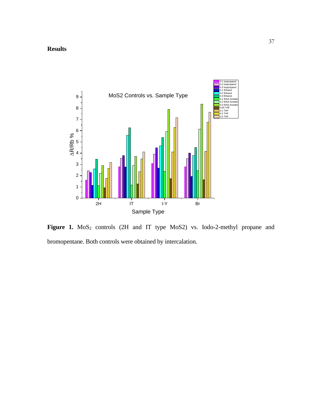

Figure 1. MoS<sub>2</sub> controls (2H and IT type MoS2) vs. Iodo-2-methyl propane and bromopentane. Both controls were obtained by intercalation.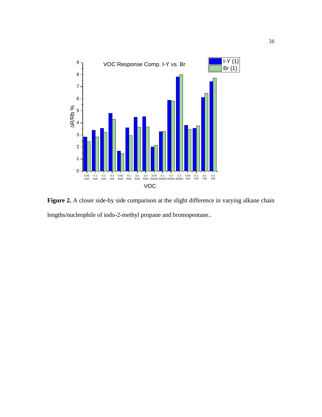

Figure 2. A closer side-by side comparison at the slight difference in varying alkane chain lengths/nucleophile of iodo-2-methyl propane and bromopentane..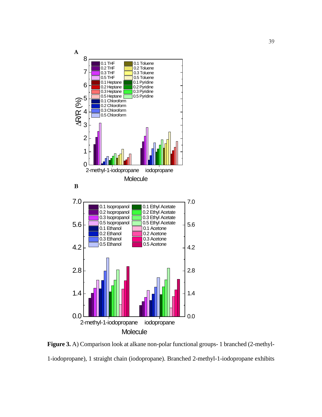

**Figure 3.** A) Comparison look at alkane non-polar functional groups- 1 branched (2-methyl-1-iodopropane), 1 straight chain (iodopropane). Branched 2-methyl-1-iodopropane exhibits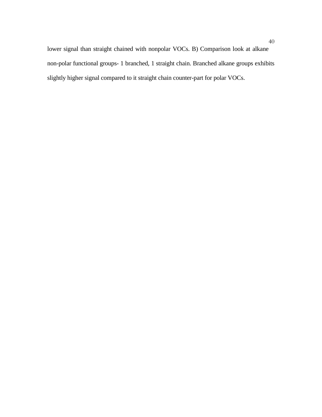lower signal than straight chained with nonpolar VOCs. B) Comparison look at alkane non-polar functional groups- 1 branched, 1 straight chain. Branched alkane groups exhibits slightly higher signal compared to it straight chain counter-part for polar VOCs.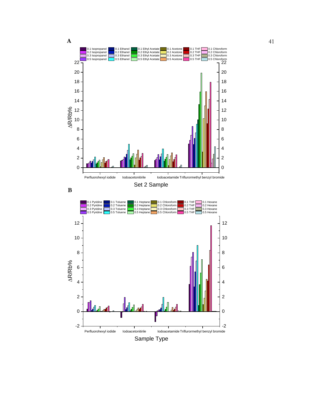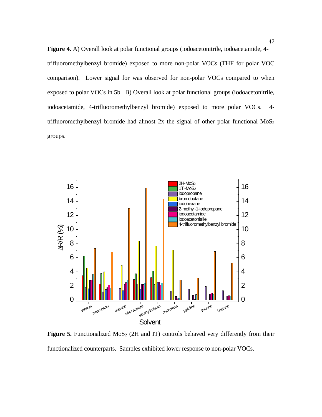**Figure 4.** A) Overall look at polar functional groups (iodoacetonitrile, iodoacetamide, 4 trifluoromethylbenzyl bromide) exposed to more non-polar VOCs (THF for polar VOC comparison). Lower signal for was observed for non-polar VOCs compared to when exposed to polar VOCs in 5b. B) Overall look at polar functional groups (iodoacetonitrile, iodoacetamide, 4-trifluoromethylbenzyl bromide) exposed to more polar VOCs. 4 trifluoromethylbenzyl bromide had almost  $2x$  the signal of other polar functional  $MoS<sub>2</sub>$ groups.



**Figure 5.** Functionalized  $MoS<sub>2</sub>$  (2H and IT) controls behaved very differently from their functionalized counterparts. Samples exhibited lower response to non-polar VOCs.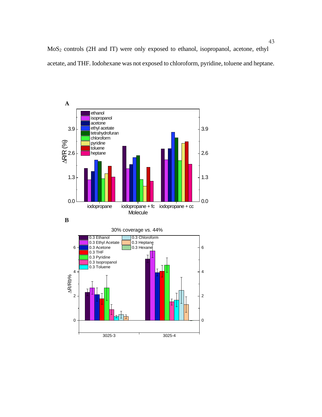MoS2 controls (2H and IT) were only exposed to ethanol, isopropanol, acetone, ethyl acetate, and THF. Iodohexane was not exposed to chloroform, pyridine, toluene and heptane.







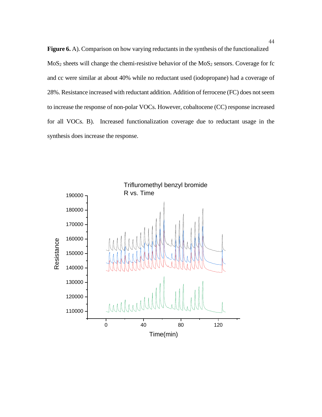**Figure 6.** A). Comparison on how varying reductants in the synthesis of the functionalized  $MoS<sub>2</sub> sheets will change the chemi-resistive behavior of the MoS<sub>2</sub> sensors. Coverage for fc$ and cc were similar at about 40% while no reductant used (iodopropane) had a coverage of 28%. Resistance increased with reductant addition. Addition of ferrocene (FC) does not seem to increase the response of non-polar VOCs. However, cobaltocene (CC) response increased for all VOCs. B). Increased functionalization coverage due to reductant usage in the synthesis does increase the response.

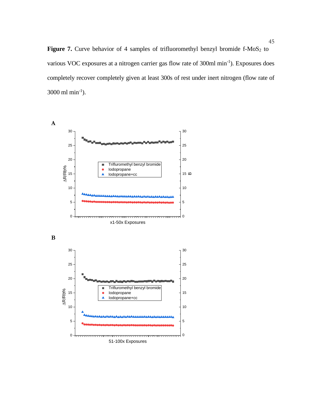Figure 7. Curve behavior of 4 samples of trifluoromethyl benzyl bromide f-MoS<sub>2</sub> to various VOC exposures at a nitrogen carrier gas flow rate of 300ml min<sup>-1</sup>). Exposures does completely recover completely given at least 300s of rest under inert nitrogen (flow rate of  $3000 \text{ ml min}^{-1}$ ).

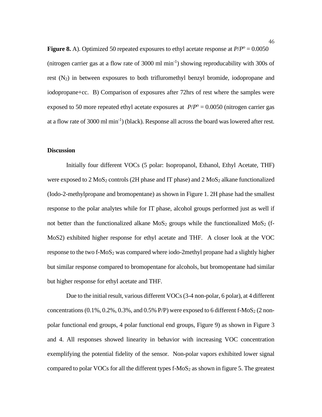**Figure 8.** A). Optimized 50 repeated exposures to ethyl acetate response at  $P/P^{\circ} = 0.0050$ (nitrogen carrier gas at a flow rate of 3000 ml min-1 ) showing reproducability with 300s of rest  $(N_2)$  in between exposures to both trifluromethyl benzyl bromide, iodopropane and iodopropane+cc. B) Comparison of exposures after 72hrs of rest where the samples were exposed to 50 more repeated ethyl acetate exposures at  $P/P^{\circ} = 0.0050$  (nitrogen carrier gas at a flow rate of 3000 ml min<sup>-1</sup>) (black). Response all across the board was lowered after rest.

#### **Discussion**

Initially four different VOCs (5 polar: Isopropanol, Ethanol, Ethyl Acetate, THF) were exposed to  $2 \text{ MoS}_2$  controls (2H phase and IT phase) and  $2 \text{ MoS}_2$  alkane functionalized (Iodo-2-methylpropane and bromopentane) as shown in Figure 1. 2H phase had the smallest response to the polar analytes while for IT phase, alcohol groups performed just as well if not better than the functionalized alkane  $MoS<sub>2</sub>$  groups while the functionalized  $MoS<sub>2</sub>$  (f-MoS2) exhibited higher response for ethyl acetate and THF. A closer look at the VOC response to the two f- $MoS<sub>2</sub>$  was compared where iodo-2methyl propane had a slightly higher but similar response compared to bromopentane for alcohols, but bromopentane had similar but higher response for ethyl acetate and THF.

Due to the initial result, various different VOCs (3-4 non-polar, 6 polar), at 4 different concentrations  $(0.1\%, 0.2\%, 0.3\%, \text{ and } 0.5\% \text{ P/P})$  were exposed to 6 different f-MoS<sub>2</sub> (2 nonpolar functional end groups, 4 polar functional end groups, Figure 9) as shown in Figure 3 and 4. All responses showed linearity in behavior with increasing VOC concentration exemplifying the potential fidelity of the sensor. Non-polar vapors exhibited lower signal compared to polar VOCs for all the different types  $f$ -MoS<sub>2</sub> as shown in figure 5. The greatest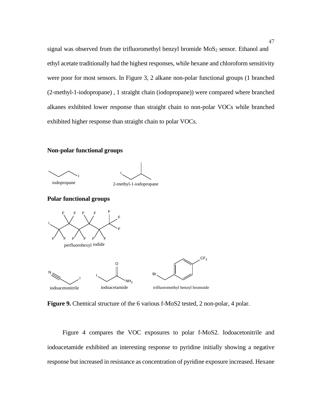signal was observed from the trifluoromethyl benzyl bromide MoS<sub>2</sub> sensor. Ethanol and ethyl acetate traditionally had the highest responses, while hexane and chloroform sensitivity were poor for most sensors. In Figure 3, 2 alkane non-polar functional groups (1 branched (2-methyl-1-iodopropane) , 1 straight chain (iodopropane)) were compared where branched alkanes exhibited lower response than straight chain to non-polar VOCs while branched exhibited higher response than straight chain to polar VOCs.

#### **Non-polar functional groups**





**Polar functional groups**



**Figure 9.** Chemical structure of the 6 various f-MoS2 tested, 2 non-polar, 4 polar.

 Figure 4 compares the VOC exposures to polar f-MoS2. Iodoacetonitrile and iodoacetamide exhibited an interesting response to pyridine initially showing a negative response but increased in resistance as concentration of pyridine exposure increased. Hexane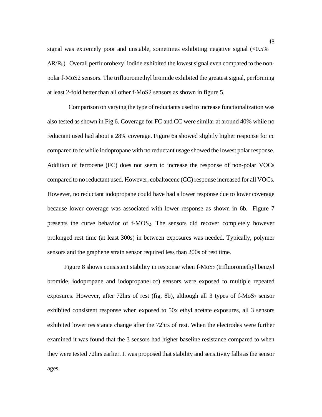signal was extremely poor and unstable, sometimes exhibiting negative signal  $\langle 0.5\%$  $\Delta R/R_b$ ). Overall perfluorohexyl iodide exhibited the lowest signal even compared to the nonpolar f-MoS2 sensors. The trifluoromethyl bromide exhibited the greatest signal, performing at least 2-fold better than all other f-MoS2 sensors as shown in figure 5.

 Comparison on varying the type of reductants used to increase functionalization was also tested as shown in Fig 6. Coverage for FC and CC were similar at around 40% while no reductant used had about a 28% coverage. Figure 6a showed slightly higher response for cc compared to fc while iodopropane with no reductant usage showed the lowest polar response. Addition of ferrocene (FC) does not seem to increase the response of non-polar VOCs compared to no reductant used. However, cobaltocene (CC) response increased for all VOCs. However, no reductant iodopropane could have had a lower response due to lower coverage because lower coverage was associated with lower response as shown in 6b. Figure 7 presents the curve behavior of f-MOS2. The sensors did recover completely however prolonged rest time (at least 300s) in between exposures was needed. Typically, polymer sensors and the graphene strain sensor required less than 200s of rest time.

Figure 8 shows consistent stability in response when  $f-MoS<sub>2</sub>$  (trifluoromethyl benzyl) bromide, iodopropane and iodopropane+cc) sensors were exposed to multiple repeated exposures. However, after 72hrs of rest (fig. 8b), although all 3 types of  $f-MoS<sub>2</sub>$  sensor exhibited consistent response when exposed to 50x ethyl acetate exposures, all 3 sensors exhibited lower resistance change after the 72hrs of rest. When the electrodes were further examined it was found that the 3 sensors had higher baseline resistance compared to when they were tested 72hrs earlier. It was proposed that stability and sensitivity falls as the sensor ages.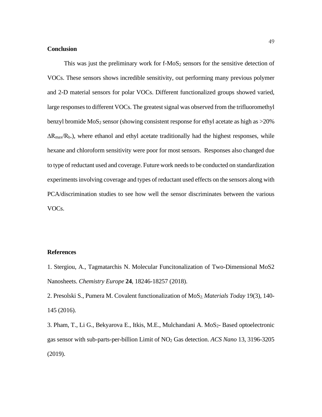#### **Conclusion**

This was just the preliminary work for  $f-MoS<sub>2</sub>$  sensors for the sensitive detection of VOCs. These sensors shows incredible sensitivity, out performing many previous polymer and 2-D material sensors for polar VOCs. Different functionalized groups showed varied, large responses to different VOCs. The greatest signal was observed from the trifluoromethyl benzyl bromide  $MoS<sub>2</sub>$  sensor (showing consistent response for ethyl acetate as high as  $>20\%$ )  $\Delta R_{\text{max}}/R_{\text{b}}$ .), where ethanol and ethyl acetate traditionally had the highest responses, while hexane and chloroform sensitivity were poor for most sensors. Responses also changed due to type of reductant used and coverage. Future work needs to be conducted on standardization experiments involving coverage and types of reductant used effects on the sensors along with PCA/discrimination studies to see how well the sensor discriminates between the various VOCs.

#### **References**

1. Stergiou, A., Tagmatarchis N. Molecular Funcitonalization of Two-Dimensional MoS2 Nanosheets. *Chemistry Europe* **24**, 18246-18257 (2018).

2. Presolski S., Pumera M. Covalent functionalization of MoS<sub>2</sub> Materials Today 19(3), 140-145 (2016).

3. Pham, T., Li G., Bekyarova E., Itkis, M.E., Mulchandani A. MoS<sub>2</sub>- Based optoelectronic gas sensor with sub-parts-per-billion Limit of NO2 Gas detection. *ACS Nano* 13, 3196-3205 (2019).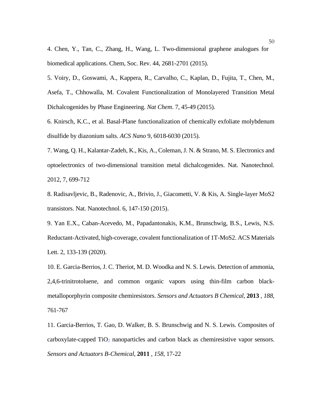4. Chen, Y., Tan, C., Zhang, H., Wang, L. Two-dimensional graphene analogues for biomedical applications. Chem, Soc. Rev. 44, 2681-2701 (2015).

5. Voiry, D., Goswami, A., Kappera, R., Carvalho, C., Kaplan, D., Fujita, T., Chen, M., Asefa, T., Chhowalla, M. Covalent Functionalization of Monolayered Transition Metal Dichalcogenides by Phase Engineering. *Nat Chem*. 7, 45-49 (2015).

6. Knirsch, K.C., et al. Basal-Plane functionalization of chemically exfoliate molybdenum disulfide by diazonium salts. *ACS Nano* 9, 6018-6030 (2015).

7. Wang, Q. H., Kalantar-Zadeh, K., Kis, A., Coleman, J. N. & Strano, M. S. Electronics and optoelectronics of two-dimensional transition metal dichalcogenides. Nat. Nanotechnol. 2012, 7, 699-712

8. Radisavljevic, B., Radenovic, A., Brivio, J., Giacometti, V. & Kis, A. Single-layer MoS2 transistors. Nat. Nanotechnol. 6, 147-150 (2015).

9. Yan E.X., Caban-Acevedo, M., Papadantonakis, K.M., Brunschwig, B.S., Lewis, N.S. Reductant-Activated, high-coverage, covalent functionalization of 1T-MoS2. ACS Materials Lett. 2, 133-139 (2020).

10. E. Garcia-Berrios, J. C. Theriot, M. D. Woodka and N. S. Lewis. Detection of ammonia, 2,4,6-trinitrotoluene, and common organic vapors using thin-film carbon blackmetalloporphyrin composite chemiresistors. *Sensors and Actuators B Chemical*, **2013** , *188*, 761-767

11. Garcia-Berrios, T. Gao, D. Walker, B. S. Brunschwig and N. S. Lewis. Composites of carboxylate-capped  $TiO<sub>2</sub>$  nanoparticles and carbon black as chemiresistive vapor sensors. *Sensors and Actuators B-Chemical*, **2011** , *158*, 17-22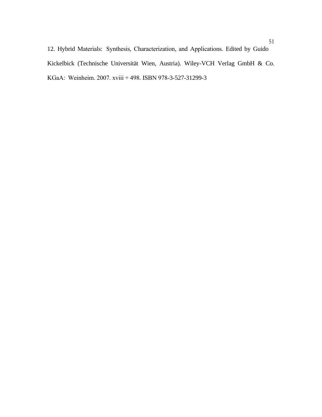12. Hybrid Materials:  Synthesis, Characterization, and Applications. Edited by Guido Kickelbick (Technische Universität Wien, Austria). Wiley-VCH Verlag GmbH & Co. KGaA:  Weinheim. 2007. xviii + 498. ISBN 978-3-527-31299-3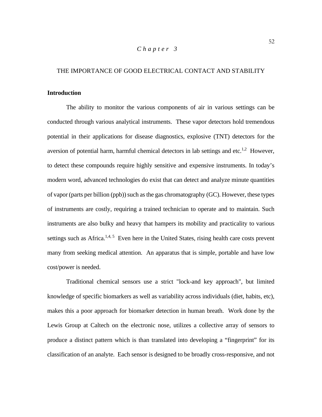# *Chapter 3*

#### THE IMPORTANCE OF GOOD ELECTRICAL CONTACT AND STABILITY

#### **Introduction**

The ability to monitor the various components of air in various settings can be conducted through various analytical instruments. These vapor detectors hold tremendous potential in their applications for disease diagnostics, explosive (TNT) detectors for the aversion of potential harm, harmful chemical detectors in lab settings and etc.<sup>1,2</sup> However, to detect these compounds require highly sensitive and expensive instruments. In today's modern word, advanced technologies do exist that can detect and analyze minute quantities of vapor (parts per billion (ppb)) such as the gas chromatography (GC). However, these types of instruments are costly, requiring a trained technician to operate and to maintain. Such instruments are also bulky and heavy that hampers its mobility and practicality to various settings such as Africa.<sup>1,4, 5</sup> Even here in the United States, rising health care costs prevent many from seeking medical attention. An apparatus that is simple, portable and have low cost/power is needed.

Traditional chemical sensors use a strict "lock-and key approach", but limited knowledge of specific biomarkers as well as variability across individuals (diet, habits, etc), makes this a poor approach for biomarker detection in human breath. Work done by the Lewis Group at Caltech on the electronic nose, utilizes a collective array of sensors to produce a distinct pattern which is than translated into developing a "fingerprint" for its classification of an analyte. Each sensor is designed to be broadly cross-responsive, and not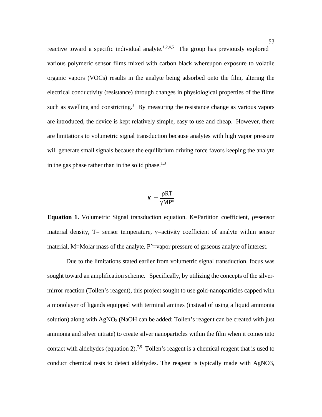reactive toward a specific individual analyte.<sup>1,2,4,5</sup> The group has previously explored various polymeric sensor films mixed with carbon black whereupon exposure to volatile organic vapors (VOCs) results in the analyte being adsorbed onto the film, altering the electrical conductivity (resistance) through changes in physiological properties of the films such as swelling and constricting.<sup>1</sup> By measuring the resistance change as various vapors are introduced, the device is kept relatively simple, easy to use and cheap. However, there are limitations to volumetric signal transduction because analytes with high vapor pressure will generate small signals because the equilibrium driving force favors keeping the analyte in the gas phase rather than in the solid phase.<sup>1,3</sup>

$$
K = \frac{\rho RT}{\gamma MP^{\circ}}
$$

**Equation 1.** Volumetric Signal transduction equation. K=Partition coefficient, ρ=sensor material density,  $T=$  sensor temperature,  $\gamma$ =activity coefficient of analyte within sensor material, M=Molar mass of the analyte, P<sup>o</sup>=vapor pressure of gaseous analyte of interest.

Due to the limitations stated earlier from volumetric signal transduction, focus was sought toward an amplification scheme. Specifically, by utilizing the concepts of the silvermirror reaction (Tollen's reagent), this project sought to use gold-nanoparticles capped with a monolayer of ligands equipped with terminal amines (instead of using a liquid ammonia solution) along with  $AgNO<sub>3</sub>$  (NaOH can be added: Tollen's reagent can be created with just ammonia and silver nitrate) to create silver nanoparticles within the film when it comes into contact with aldehydes (equation 2).<sup>7,9</sup> Tollen's reagent is a chemical reagent that is used to conduct chemical tests to detect aldehydes. The reagent is typically made with AgNO3,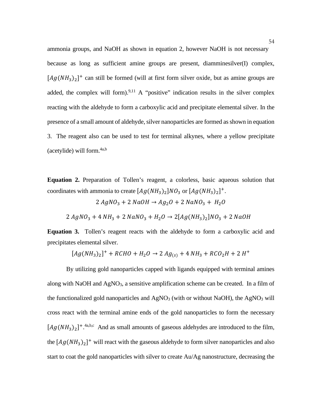ammonia groups, and NaOH as shown in equation 2, however NaOH is not necessary because as long as sufficient amine groups are present, diamminesilver(I) complex,  $[Ag(NH<sub>3</sub>)<sub>2</sub>]$ <sup>+</sup> can still be formed (will at first form silver oxide, but as amine groups are added, the complex will form).<sup>9,11</sup> A "positive" indication results in the silver complex reacting with the aldehyde to form a carboxylic acid and precipitate elemental silver. In the presence of a small amount of aldehyde, silver nanoparticles are formed as shown in equation 3. The reagent also can be used to test for terminal alkynes, where a yellow precipitate  $(\text{acetylide})$  will form.<sup>4a,b</sup>

**Equation 2.** Preparation of Tollen's reagent, a colorless, basic aqueous solution that coordinates with ammonia to create  $[Ag(NH_3)_2]NO_3$  or  $[Ag(NH_3)_2]^+$ .

$$
2 AgNO3 + 2 NaOH \rightarrow Ag2O + 2 NaNO3 + H2O
$$

$$
2 AgNO_3 + 4 NH_3 + 2 NaNO_3 + H_2O \rightarrow 2[Ag(NH_3)_2]NO_3 + 2 NaOH
$$

**Equation 3.** Tollen's reagent reacts with the aldehyde to form a carboxylic acid and precipitates elemental silver.

$$
[Ag(NH_3)_2]^+ + RCHO + H_2O \rightarrow 2 Ag_{(s)} + 4 NH_3 + RCO_2H + 2 H^+
$$

By utilizing gold nanoparticles capped with ligands equipped with terminal amines along with NaOH and  $AgNO<sub>3</sub>$ , a sensitive amplification scheme can be created. In a film of the functionalized gold nanoparticles and  $AgNO<sub>3</sub>$  (with or without NaOH), the AgNO<sub>3</sub> will cross react with the terminal amine ends of the gold nanoparticles to form the necessary  $[Ag(NH_3)_2]^+$ .<sup>4a,b,c</sup> And as small amounts of gaseous aldehydes are introduced to the film, the  $[Ag(NH_3)_2]^+$  will react with the gaseous aldehyde to form silver nanoparticles and also start to coat the gold nanoparticles with silver to create Au/Ag nanostructure, decreasing the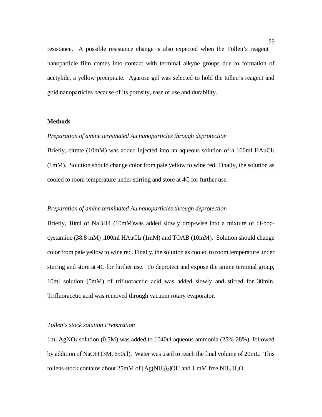resistance. A possible resistance change is also expected when the Tollen's reagent nanoparticle film comes into contact with terminal alkyne groups due to formation of acetylide, a yellow precipitate. Agarose gel was selected to hold the tollen's reagent and gold nanoparticles because of its porosity, ease of use and durability.

# **Methods**

#### *Preparation of amine terminated Au nanoparticles through deprotection*

Briefly, citrate (10mM) was added injected into an aqueous solution of a 100ml HAuCl4 (1mM). Solution should change color from pale yellow to wine red. Finally, the solution as cooled to room temperature under stirring and store at 4C for further use.

#### *Preparation of amine terminated Au nanoparticles through deprotection*

Briefly, 10ml of NaBH4 (10mM)was added slowly drop-wise into a mixture of di-boccystamine (38.8 mM) ,100ml HAuCl4 (1mM) and TOAB (10mM). Solution should change color from pale yellow to wine red. Finally, the solution as cooled to room temperature under stirring and store at 4C for further use. To deprotect and expose the amine terminal group, 10ml solution (5mM) of trifluoracetic acid was added slowly and stirred for 30min. Trifluoracetic acid was removed through vacuum rotary evaporator.

#### *Tollen's stock solution Preparation*

1ml AgNO3 solution (0.5M) was added to 1040ul aqueous ammonia (25%-28%), followed by addition of NaOH (3M, 650ul). Water was used to reach the final volume of 20mL. This tollens stock contains about 25mM of [Ag(NH3)2]OH and 1 mM free NH3 H2O.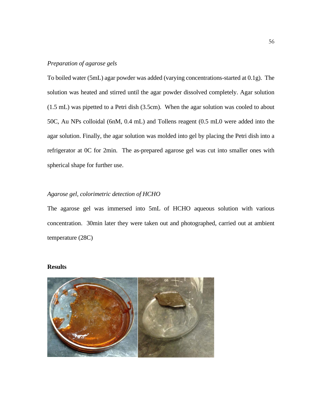#### *Preparation of agarose gels*

To boiled water (5mL) agar powder was added (varying concentrations-started at 0.1g). The solution was heated and stirred until the agar powder dissolved completely. Agar solution (1.5 mL) was pipetted to a Petri dish (3.5cm). When the agar solution was cooled to about 50C, Au NPs colloidal (6nM, 0.4 mL) and Tollens reagent (0.5 mL0 were added into the agar solution. Finally, the agar solution was molded into gel by placing the Petri dish into a refrigerator at 0C for 2min. The as-prepared agarose gel was cut into smaller ones with spherical shape for further use.

# *Agarose gel, colorimetric detection of HCHO*

The agarose gel was immersed into 5mL of HCHO aqueous solution with various concentration. 30min later they were taken out and photographed, carried out at ambient temperature (28C)

# **Results**

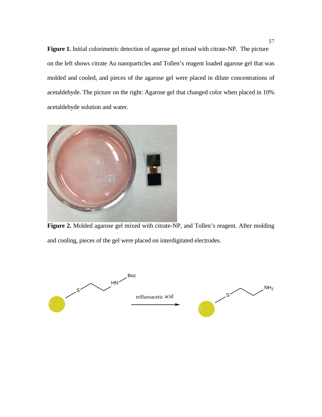**Figure 1.** Initial colorimetric detection of agarose gel mixed with citrate-NP. The picture on the left shows citrate Au nanoparticles and Tollen's reagent loaded agarose gel that was molded and cooled, and pieces of the agarose gel were placed in dilute concentrations of acetaldehyde. The picture on the right: Agarose gel that changed color when placed in 10% acetaldehyde solution and water.



**Figure 2.** Molded agarose gel mixed with citrate-NP, and Tollen's reagent. After molding and cooling, pieces of the gel were placed on interdigitated electrodes.

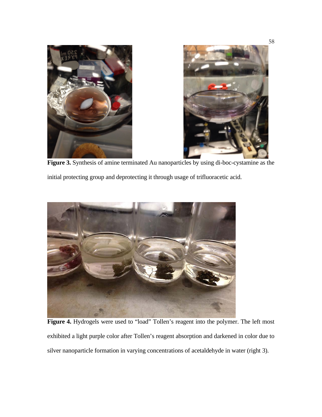

**Figure 3.** Synthesis of amine terminated Au nanoparticles by using di-boc-cystamine as the

initial protecting group and deprotecting it through usage of trifluoracetic acid.



Figure 4. Hydrogels were used to "load" Tollen's reagent into the polymer. The left most exhibited a light purple color after Tollen's reagent absorption and darkened in color due to silver nanoparticle formation in varying concentrations of acetaldehyde in water (right 3).

58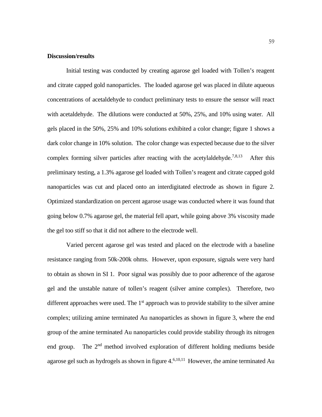#### **Discussion/results**

Initial testing was conducted by creating agarose gel loaded with Tollen's reagent and citrate capped gold nanoparticles. The loaded agarose gel was placed in dilute aqueous concentrations of acetaldehyde to conduct preliminary tests to ensure the sensor will react with acetaldehyde. The dilutions were conducted at 50%, 25%, and 10% using water. All gels placed in the 50%, 25% and 10% solutions exhibited a color change; figure 1 shows a dark color change in 10% solution. The color change was expected because due to the silver complex forming silver particles after reacting with the acetylaldehyde.<sup>7,8,13</sup> After this preliminary testing, a 1.3% agarose gel loaded with Tollen's reagent and citrate capped gold nanoparticles was cut and placed onto an interdigitated electrode as shown in figure 2. Optimized standardization on percent agarose usage was conducted where it was found that going below 0.7% agarose gel, the material fell apart, while going above 3% viscosity made the gel too stiff so that it did not adhere to the electrode well.

Varied percent agarose gel was tested and placed on the electrode with a baseline resistance ranging from 50k-200k ohms. However, upon exposure, signals were very hard to obtain as shown in SI 1. Poor signal was possibly due to poor adherence of the agarose gel and the unstable nature of tollen's reagent (silver amine complex). Therefore, two different approaches were used. The  $1<sup>st</sup>$  approach was to provide stability to the silver amine complex; utilizing amine terminated Au nanoparticles as shown in figure 3, where the end group of the amine terminated Au nanoparticles could provide stability through its nitrogen end group. The  $2<sup>nd</sup>$  method involved exploration of different holding mediums beside agarose gel such as hydrogels as shown in figure 4. 6,10,11 However, the amine terminated Au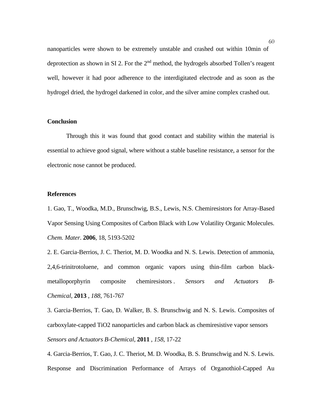nanoparticles were shown to be extremely unstable and crashed out within 10min of deprotection as shown in SI 2. For the  $2<sup>nd</sup>$  method, the hydrogels absorbed Tollen's reagent well, however it had poor adherence to the interdigitated electrode and as soon as the hydrogel dried, the hydrogel darkened in color, and the silver amine complex crashed out.

# **Conclusion**

Through this it was found that good contact and stability within the material is essential to achieve good signal, where without a stable baseline resistance, a sensor for the electronic nose cannot be produced.

#### **References**

1. Gao, T., Woodka, M.D., Brunschwig, B.S., Lewis, N.S. Chemiresistors for Array-Based Vapor Sensing Using Composites of Carbon Black with Low Volatility Organic Molecules. *Chem. Mater*. **2006**, 18, 5193-5202

2. E. Garcia-Berrios, J. C. Theriot, M. D. Woodka and N. S. Lewis. Detection of ammonia, 2,4,6-trinitrotoluene, and common organic vapors using thin-film carbon blackmetalloporphyrin composite chemiresistors . *Sensors and Actuators B-Chemical*, **2013** , *188*, 761-767

3. Garcia-Berrios, T. Gao, D. Walker, B. S. Brunschwig and N. S. Lewis. Composites of carboxylate-capped TiO2 nanoparticles and carbon black as chemiresistive vapor sensors *Sensors and Actuators B-Chemical*, **2011** , *158*, 17-22

4. Garcia-Berrios, T. Gao, J. C. Theriot, M. D. Woodka, B. S. Brunschwig and N. S. Lewis. Response and Discrimination Performance of Arrays of Organothiol-Capped Au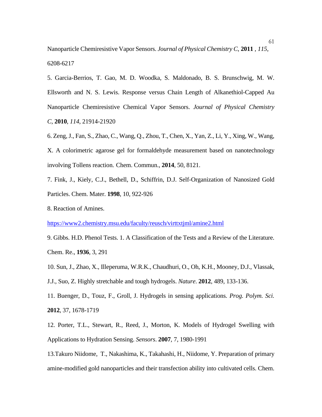Nanoparticle Chemiresistive Vapor Sensors. *Journal of Physical Chemistry C*, **2011** , *115*, 6208-6217

5. Garcia-Berrios, T. Gao, M. D. Woodka, S. Maldonado, B. S. Brunschwig, M. W. Ellsworth and N. S. Lewis. Response versus Chain Length of Alkanethiol-Capped Au Nanoparticle Chemiresistive Chemical Vapor Sensors. *Journal of Physical Chemistry C*, **2010**, *114*, 21914-21920

6. Zeng, J., Fan, S., Zhao, C., Wang, Q., Zhou, T., Chen, X., Yan, Z., Li, Y., Xing, W., Wang, X. A colorimetric agarose gel for formaldehyde measurement based on nanotechnology involving Tollens reaction. Chem. Commun., **2014**, 50, 8121.

7. Fink, J., Kiely, C.J., Bethell, D., Schiffrin, D.J. Self-Organization of Nanosized Gold Particles. Chem. Mater. **1998**, 10, 922-926

8. Reaction of Amines.

<https://www2.chemistry.msu.edu/faculty/reusch/virttxtjml/amine2.html>

9. Gibbs. H.D. Phenol Tests. 1. A Classification of the Tests and a Review of the Literature. Chem. Re., **1936**, 3, 291

10. Sun, J., Zhao, X., Illeperuma, W.R.K., Chaudhuri, O., Oh, K.H., Mooney, D.J., Vlassak,

J.J., Suo, Z. Highly stretchable and tough hydrogels. *Nature*. **2012**, 489, 133-136.

11. Buenger, D., Touz, F., Groll, J. Hydrogels in sensing applications. *Prog. Polym. Sci.* **2012**, 37, 1678-1719

12. Porter, T.L., Stewart, R., Reed, J., Morton, K. Models of Hydrogel Swelling with Applications to Hydration Sensing. *Sensors*. **2007**, 7, 1980-1991

13.Takuro Niidome, T., Nakashima, K., Takahashi, H., Niidome, Y. Preparation of primary amine-modified gold nanoparticles and their transfection ability into cultivated cells. Chem.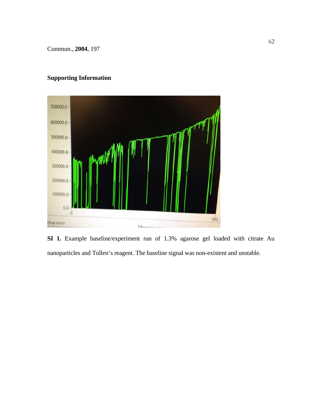Commun., **2004**, 197

# **Supporting Information**



**SI 1.** Example baseline/experiment run of 1.3% agarose gel loaded with citrate Au nanoparticles and Tollen's reagent. The baseline signal was non-existent and unstable.